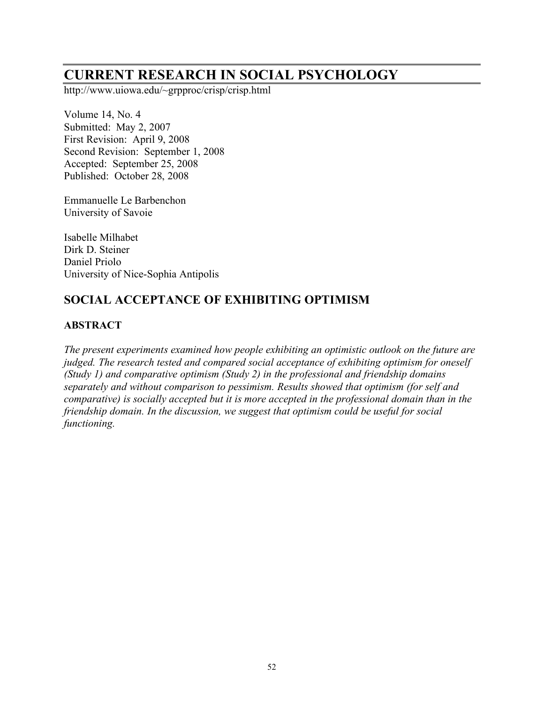# **CURRENT RESEARCH IN SOCIAL PSYCHOLOGY**

http://www.uiowa.edu/~grpproc/crisp/crisp.html

Volume 14, No. 4 Submitted: May 2, 2007 First Revision: April 9, 2008 Second Revision: September 1, 2008 Accepted: September 25, 2008 Published: October 28, 2008

Emmanuelle Le Barbenchon University of Savoie

Isabelle Milhabet Dirk D. Steiner Daniel Priolo University of Nice-Sophia Antipolis

## **SOCIAL ACCEPTANCE OF EXHIBITING OPTIMISM**

### **ABSTRACT**

*The present experiments examined how people exhibiting an optimistic outlook on the future are judged. The research tested and compared social acceptance of exhibiting optimism for oneself (Study 1) and comparative optimism (Study 2) in the professional and friendship domains separately and without comparison to pessimism. Results showed that optimism (for self and comparative) is socially accepted but it is more accepted in the professional domain than in the friendship domain. In the discussion, we suggest that optimism could be useful for social functioning.*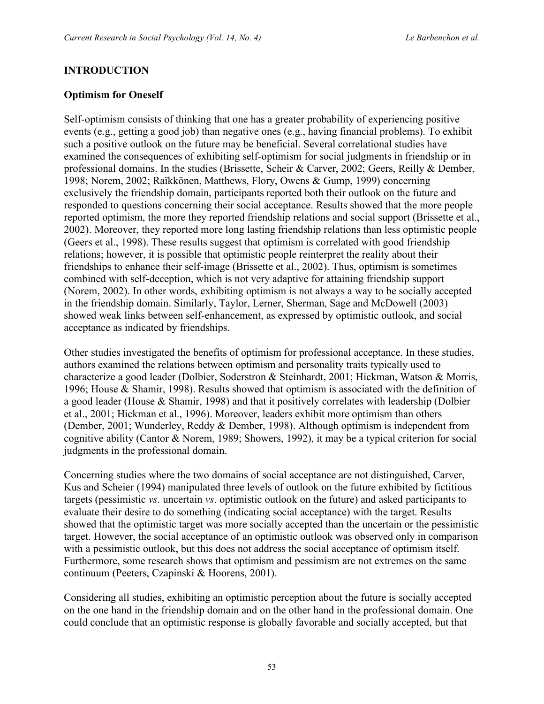### **INTRODUCTION**

### **Optimism for Oneself**

Self-optimism consists of thinking that one has a greater probability of experiencing positive events (e.g., getting a good job) than negative ones (e.g., having financial problems). To exhibit such a positive outlook on the future may be beneficial. Several correlational studies have examined the consequences of exhibiting self-optimism for social judgments in friendship or in professional domains. In the studies (Brissette, Scheir & Carver, 2002; Geers, Reilly & Dember, 1998; Norem, 2002; Raïkkönen, Matthews, Flory, Owens & Gump, 1999) concerning exclusively the friendship domain, participants reported both their outlook on the future and responded to questions concerning their social acceptance. Results showed that the more people reported optimism, the more they reported friendship relations and social support (Brissette et al., 2002). Moreover, they reported more long lasting friendship relations than less optimistic people (Geers et al., 1998). These results suggest that optimism is correlated with good friendship relations; however, it is possible that optimistic people reinterpret the reality about their friendships to enhance their self-image (Brissette et al., 2002). Thus, optimism is sometimes combined with self-deception, which is not very adaptive for attaining friendship support (Norem, 2002). In other words, exhibiting optimism is not always a way to be socially accepted in the friendship domain. Similarly, Taylor, Lerner, Sherman, Sage and McDowell (2003) showed weak links between self-enhancement, as expressed by optimistic outlook, and social acceptance as indicated by friendships.

Other studies investigated the benefits of optimism for professional acceptance. In these studies, authors examined the relations between optimism and personality traits typically used to characterize a good leader (Dolbier, Soderstron & Steinhardt, 2001; Hickman, Watson & Morris, 1996; House & Shamir, 1998). Results showed that optimism is associated with the definition of a good leader (House & Shamir, 1998) and that it positively correlates with leadership (Dolbier et al., 2001; Hickman et al., 1996). Moreover, leaders exhibit more optimism than others (Dember, 2001; Wunderley, Reddy & Dember, 1998). Although optimism is independent from cognitive ability (Cantor & Norem, 1989; Showers, 1992), it may be a typical criterion for social judgments in the professional domain.

Concerning studies where the two domains of social acceptance are not distinguished, Carver, Kus and Scheier (1994) manipulated three levels of outlook on the future exhibited by fictitious targets (pessimistic *vs*. uncertain *vs*. optimistic outlook on the future) and asked participants to evaluate their desire to do something (indicating social acceptance) with the target. Results showed that the optimistic target was more socially accepted than the uncertain or the pessimistic target. However, the social acceptance of an optimistic outlook was observed only in comparison with a pessimistic outlook, but this does not address the social acceptance of optimism itself. Furthermore, some research shows that optimism and pessimism are not extremes on the same continuum (Peeters, Czapinski & Hoorens, 2001).

Considering all studies, exhibiting an optimistic perception about the future is socially accepted on the one hand in the friendship domain and on the other hand in the professional domain. One could conclude that an optimistic response is globally favorable and socially accepted, but that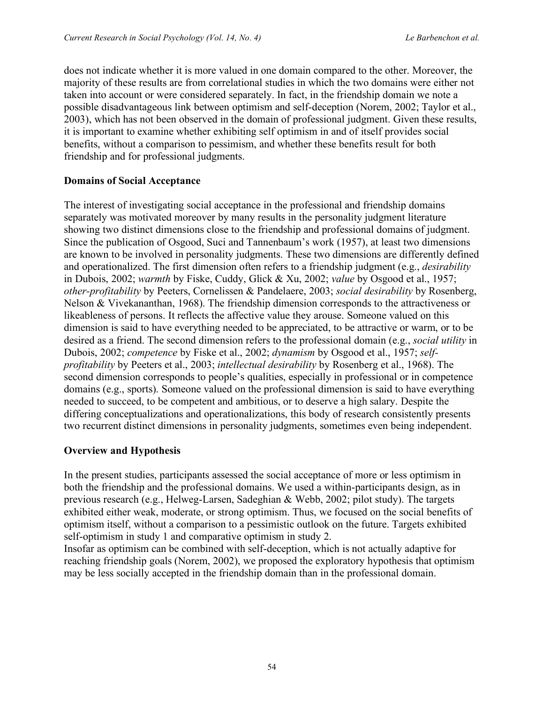does not indicate whether it is more valued in one domain compared to the other. Moreover, the majority of these results are from correlational studies in which the two domains were either not taken into account or were considered separately. In fact, in the friendship domain we note a possible disadvantageous link between optimism and self-deception (Norem, 2002; Taylor et al., 2003), which has not been observed in the domain of professional judgment. Given these results, it is important to examine whether exhibiting self optimism in and of itself provides social benefits, without a comparison to pessimism, and whether these benefits result for both friendship and for professional judgments.

#### **Domains of Social Acceptance**

The interest of investigating social acceptance in the professional and friendship domains separately was motivated moreover by many results in the personality judgment literature showing two distinct dimensions close to the friendship and professional domains of judgment. Since the publication of Osgood, Suci and Tannenbaum's work (1957), at least two dimensions are known to be involved in personality judgments. These two dimensions are differently defined and operationalized. The first dimension often refers to a friendship judgment (e.g., *desirability* in Dubois, 2002; *warmth* by Fiske, Cuddy, Glick & Xu, 2002; *value* by Osgood et al., 1957; *other-profitability* by Peeters, Cornelissen & Pandelaere, 2003; *social desirability* by Rosenberg, Nelson & Vivekananthan, 1968). The friendship dimension corresponds to the attractiveness or likeableness of persons. It reflects the affective value they arouse. Someone valued on this dimension is said to have everything needed to be appreciated, to be attractive or warm, or to be desired as a friend. The second dimension refers to the professional domain (e.g., *social utility* in Dubois, 2002; *competence* by Fiske et al., 2002; *dynamism* by Osgood et al., 1957; *selfprofitability* by Peeters et al., 2003; *intellectual desirability* by Rosenberg et al., 1968). The second dimension corresponds to people's qualities, especially in professional or in competence domains (e.g., sports). Someone valued on the professional dimension is said to have everything needed to succeed, to be competent and ambitious, or to deserve a high salary. Despite the differing conceptualizations and operationalizations, this body of research consistently presents two recurrent distinct dimensions in personality judgments, sometimes even being independent.

### **Overview and Hypothesis**

In the present studies, participants assessed the social acceptance of more or less optimism in both the friendship and the professional domains. We used a within-participants design, as in previous research (e.g., Helweg-Larsen, Sadeghian & Webb, 2002; pilot study). The targets exhibited either weak, moderate, or strong optimism. Thus, we focused on the social benefits of optimism itself, without a comparison to a pessimistic outlook on the future. Targets exhibited self-optimism in study 1 and comparative optimism in study 2.

Insofar as optimism can be combined with self-deception, which is not actually adaptive for reaching friendship goals (Norem, 2002), we proposed the exploratory hypothesis that optimism may be less socially accepted in the friendship domain than in the professional domain.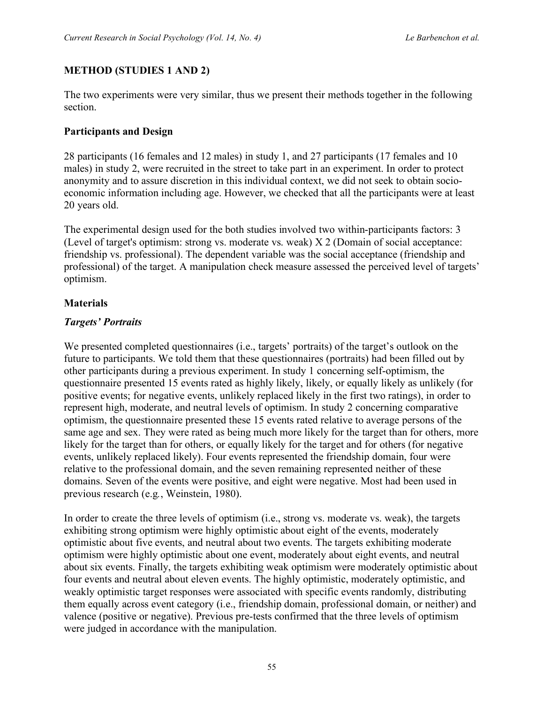### **METHOD (STUDIES 1 AND 2)**

The two experiments were very similar, thus we present their methods together in the following section.

### **Participants and Design**

28 participants (16 females and 12 males) in study 1, and 27 participants (17 females and 10 males) in study 2, were recruited in the street to take part in an experiment. In order to protect anonymity and to assure discretion in this individual context, we did not seek to obtain socioeconomic information including age. However, we checked that all the participants were at least 20 years old.

The experimental design used for the both studies involved two within-participants factors: 3 (Level of target's optimism: strong vs. moderate vs. weak) X 2 (Domain of social acceptance: friendship vs. professional). The dependent variable was the social acceptance (friendship and professional) of the target. A manipulation check measure assessed the perceived level of targets' optimism.

#### **Materials**

#### *Targets' Portraits*

We presented completed questionnaires (i.e., targets' portraits) of the target's outlook on the future to participants. We told them that these questionnaires (portraits) had been filled out by other participants during a previous experiment. In study 1 concerning self-optimism, the questionnaire presented 15 events rated as highly likely, likely, or equally likely as unlikely (for positive events; for negative events, unlikely replaced likely in the first two ratings), in order to represent high, moderate, and neutral levels of optimism. In study 2 concerning comparative optimism, the questionnaire presented these 15 events rated relative to average persons of the same age and sex. They were rated as being much more likely for the target than for others, more likely for the target than for others, or equally likely for the target and for others (for negative events, unlikely replaced likely). Four events represented the friendship domain, four were relative to the professional domain, and the seven remaining represented neither of these domains. Seven of the events were positive, and eight were negative. Most had been used in previous research (e.g*.*, Weinstein, 1980).

In order to create the three levels of optimism (i.e., strong vs. moderate vs. weak), the targets exhibiting strong optimism were highly optimistic about eight of the events, moderately optimistic about five events, and neutral about two events. The targets exhibiting moderate optimism were highly optimistic about one event, moderately about eight events, and neutral about six events. Finally, the targets exhibiting weak optimism were moderately optimistic about four events and neutral about eleven events. The highly optimistic, moderately optimistic, and weakly optimistic target responses were associated with specific events randomly, distributing them equally across event category (i.e., friendship domain, professional domain, or neither) and valence (positive or negative). Previous pre-tests confirmed that the three levels of optimism were judged in accordance with the manipulation.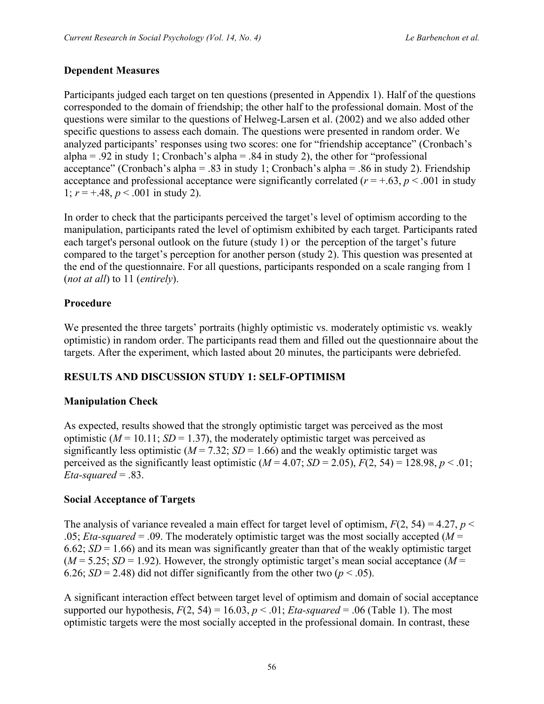### **Dependent Measures**

Participants judged each target on ten questions (presented in Appendix 1). Half of the questions corresponded to the domain of friendship; the other half to the professional domain. Most of the questions were similar to the questions of Helweg-Larsen et al. (2002) and we also added other specific questions to assess each domain. The questions were presented in random order. We analyzed participants' responses using two scores: one for "friendship acceptance" (Cronbach's alpha = .92 in study 1; Cronbach's alpha = .84 in study 2), the other for "professional" acceptance" (Cronbach's alpha = .83 in study 1; Cronbach's alpha = .86 in study 2). Friendship acceptance and professional acceptance were significantly correlated ( $r = +.63$ ,  $p < .001$  in study 1;  $r = +0.48$ ,  $p < 0.001$  in study 2).

In order to check that the participants perceived the target's level of optimism according to the manipulation, participants rated the level of optimism exhibited by each target. Participants rated each target's personal outlook on the future (study 1) or the perception of the target's future compared to the target's perception for another person (study 2). This question was presented at the end of the questionnaire. For all questions, participants responded on a scale ranging from 1 (*not at all*) to 11 (*entirely*).

### **Procedure**

We presented the three targets' portraits (highly optimistic vs. moderately optimistic vs. weakly optimistic) in random order. The participants read them and filled out the questionnaire about the targets. After the experiment, which lasted about 20 minutes, the participants were debriefed.

### **RESULTS AND DISCUSSION STUDY 1: SELF-OPTIMISM**

### **Manipulation Check**

As expected, results showed that the strongly optimistic target was perceived as the most optimistic ( $M = 10.11$ ;  $SD = 1.37$ ), the moderately optimistic target was perceived as significantly less optimistic ( $M = 7.32$ ;  $SD = 1.66$ ) and the weakly optimistic target was perceived as the significantly least optimistic  $(M = 4.07; SD = 2.05)$ ,  $F(2, 54) = 128.98$ ,  $p < .01$ ; *Eta-squared* = .83.

### **Social Acceptance of Targets**

The analysis of variance revealed a main effect for target level of optimism,  $F(2, 54) = 4.27$ ,  $p <$ .05; *Eta-squared* = .09. The moderately optimistic target was the most socially accepted ( $M =$ 6.62;  $SD = 1.66$ ) and its mean was significantly greater than that of the weakly optimistic target  $(M = 5.25; SD = 1.92)$ . However, the strongly optimistic target's mean social acceptance  $(M = 1.92)$ 6.26; *SD* = 2.48) did not differ significantly from the other two ( $p < .05$ ).

A significant interaction effect between target level of optimism and domain of social acceptance supported our hypothesis,  $F(2, 54) = 16.03$ ,  $p < .01$ ; *Eta-squared* = .06 (Table 1). The most optimistic targets were the most socially accepted in the professional domain. In contrast, these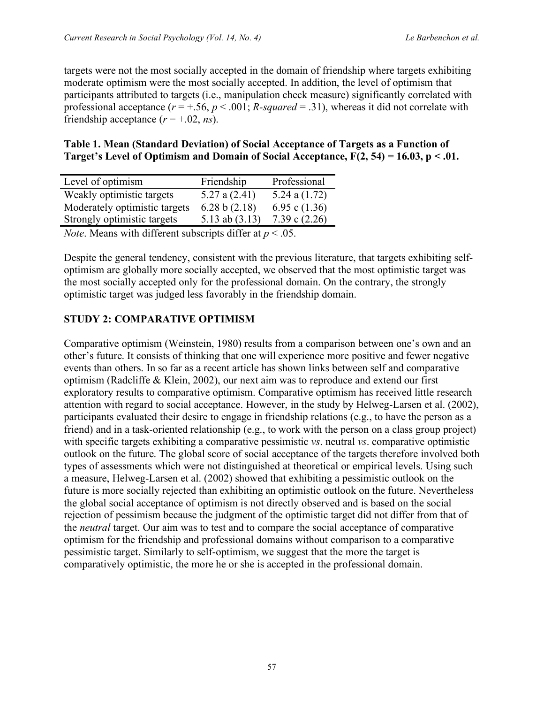targets were not the most socially accepted in the domain of friendship where targets exhibiting moderate optimism were the most socially accepted. In addition, the level of optimism that participants attributed to targets (i.e., manipulation check measure) significantly correlated with professional acceptance  $(r = +.56, p < .001; R-squared = .31)$ , whereas it did not correlate with friendship acceptance  $(r = +.02, ns)$ .

#### **Table 1. Mean (Standard Deviation) of Social Acceptance of Targets as a Function of Target's Level of Optimism and Domain of Social Acceptance, F(2, 54) = 16.03, p < .01.**

| Level of optimism                                                  | Friendship       | Professional    |  |  |  |
|--------------------------------------------------------------------|------------------|-----------------|--|--|--|
| Weakly optimistic targets                                          | 5.27 a $(2.41)$  | 5.24 a $(1.72)$ |  |  |  |
| Moderately optimistic targets                                      | 6.28 b $(2.18)$  | 6.95 c $(1.36)$ |  |  |  |
| Strongly optimistic targets                                        | 5.13 ab $(3.13)$ | 7.39 c $(2.26)$ |  |  |  |
| <i>Note.</i> Means with different subscripts differ at $p < .05$ . |                  |                 |  |  |  |

Despite the general tendency, consistent with the previous literature, that targets exhibiting selfoptimism are globally more socially accepted, we observed that the most optimistic target was the most socially accepted only for the professional domain. On the contrary, the strongly optimistic target was judged less favorably in the friendship domain.

### **STUDY 2: COMPARATIVE OPTIMISM**

Comparative optimism (Weinstein, 1980) results from a comparison between one's own and an other's future. It consists of thinking that one will experience more positive and fewer negative events than others. In so far as a recent article has shown links between self and comparative optimism (Radcliffe & Klein, 2002), our next aim was to reproduce and extend our first exploratory results to comparative optimism. Comparative optimism has received little research attention with regard to social acceptance. However, in the study by Helweg-Larsen et al. (2002), participants evaluated their desire to engage in friendship relations (e.g., to have the person as a friend) and in a task-oriented relationship (e.g., to work with the person on a class group project) with specific targets exhibiting a comparative pessimistic *vs*. neutral *vs*. comparative optimistic outlook on the future. The global score of social acceptance of the targets therefore involved both types of assessments which were not distinguished at theoretical or empirical levels. Using such a measure, Helweg-Larsen et al. (2002) showed that exhibiting a pessimistic outlook on the future is more socially rejected than exhibiting an optimistic outlook on the future. Nevertheless the global social acceptance of optimism is not directly observed and is based on the social rejection of pessimism because the judgment of the optimistic target did not differ from that of the *neutral* target. Our aim was to test and to compare the social acceptance of comparative optimism for the friendship and professional domains without comparison to a comparative pessimistic target. Similarly to self-optimism, we suggest that the more the target is comparatively optimistic, the more he or she is accepted in the professional domain.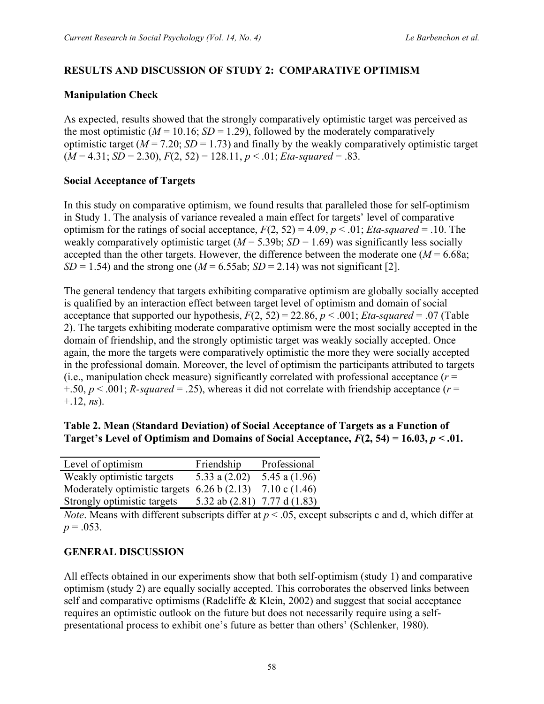### **RESULTS AND DISCUSSION OF STUDY 2: COMPARATIVE OPTIMISM**

### **Manipulation Check**

As expected, results showed that the strongly comparatively optimistic target was perceived as the most optimistic ( $M = 10.16$ ;  $SD = 1.29$ ), followed by the moderately comparatively optimistic target  $(M = 7.20; SD = 1.73)$  and finally by the weakly comparatively optimistic target  $(M = 4.31; SD = 2.30), F(2, 52) = 128.11, p < .01; Eta-squared = .83.$ 

### **Social Acceptance of Targets**

In this study on comparative optimism, we found results that paralleled those for self-optimism in Study 1. The analysis of variance revealed a main effect for targets' level of comparative optimism for the ratings of social acceptance,  $F(2, 52) = 4.09$ ,  $p < .01$ ; *Eta-squared* = .10. The weakly comparatively optimistic target  $(M = 5.39b; SD = 1.69)$  was significantly less socially accepted than the other targets. However, the difference between the moderate one  $(M = 6.68a)$ ;  $SD = 1.54$ ) and the strong one ( $M = 6.55$ ab;  $SD = 2.14$ ) was not significant [2].

The general tendency that targets exhibiting comparative optimism are globally socially accepted is qualified by an interaction effect between target level of optimism and domain of social acceptance that supported our hypothesis,  $F(2, 52) = 22.86$ ,  $p < .001$ ; *Eta-squared* = .07 (Table 2). The targets exhibiting moderate comparative optimism were the most socially accepted in the domain of friendship, and the strongly optimistic target was weakly socially accepted. Once again, the more the targets were comparatively optimistic the more they were socially accepted in the professional domain. Moreover, the level of optimism the participants attributed to targets (i.e., manipulation check measure) significantly correlated with professional acceptance  $(r =$  $+50, p < .001$ ; *R-squared* = .25), whereas it did not correlate with friendship acceptance ( $r =$ +.12, *ns*).

| Table 2. Mean (Standard Deviation) of Social Acceptance of Targets as a Function of            |  |
|------------------------------------------------------------------------------------------------|--|
| Target's Level of Optimism and Domains of Social Acceptance, $F(2, 54) = 16.03$ , $p < 0.01$ . |  |

| Level of optimism                             | Friendship                   | Professional            |
|-----------------------------------------------|------------------------------|-------------------------|
| Weakly optimistic targets                     | 5.33 a $(2.02)$              | 5.45 a $(1.96)$         |
| Moderately optimistic targets $6.26 b (2.13)$ |                              | $7.10 \text{ c} (1.46)$ |
| Strongly optimistic targets                   | 5.32 ab (2.81) 7.77 d (1.83) |                         |

*Note*. Means with different subscripts differ at  $p < .05$ , except subscripts c and d, which differ at  $p = .053$ .

### **GENERAL DISCUSSION**

All effects obtained in our experiments show that both self-optimism (study 1) and comparative optimism (study 2) are equally socially accepted. This corroborates the observed links between self and comparative optimisms (Radcliffe & Klein, 2002) and suggest that social acceptance requires an optimistic outlook on the future but does not necessarily require using a selfpresentational process to exhibit one's future as better than others' (Schlenker, 1980).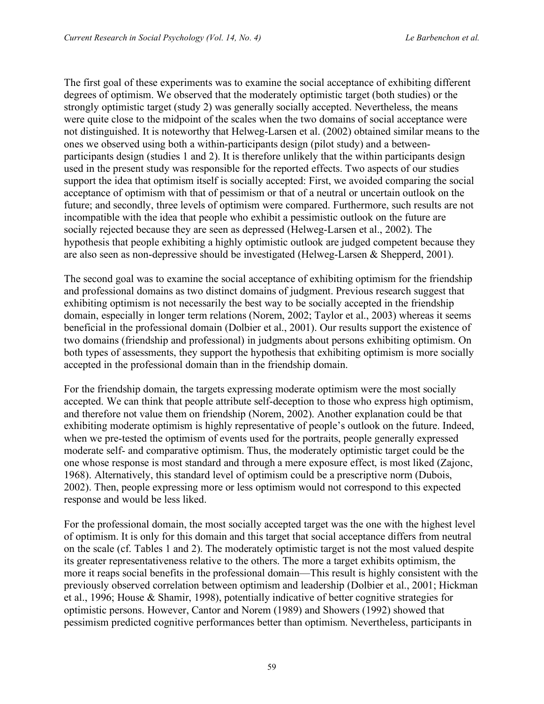The first goal of these experiments was to examine the social acceptance of exhibiting different degrees of optimism. We observed that the moderately optimistic target (both studies) or the strongly optimistic target (study 2) was generally socially accepted. Nevertheless, the means were quite close to the midpoint of the scales when the two domains of social acceptance were not distinguished. It is noteworthy that Helweg-Larsen et al. (2002) obtained similar means to the ones we observed using both a within-participants design (pilot study) and a betweenparticipants design (studies 1 and 2). It is therefore unlikely that the within participants design used in the present study was responsible for the reported effects. Two aspects of our studies support the idea that optimism itself is socially accepted: First, we avoided comparing the social acceptance of optimism with that of pessimism or that of a neutral or uncertain outlook on the future; and secondly, three levels of optimism were compared. Furthermore, such results are not incompatible with the idea that people who exhibit a pessimistic outlook on the future are socially rejected because they are seen as depressed (Helweg-Larsen et al., 2002). The hypothesis that people exhibiting a highly optimistic outlook are judged competent because they are also seen as non-depressive should be investigated (Helweg-Larsen & Shepperd, 2001).

The second goal was to examine the social acceptance of exhibiting optimism for the friendship and professional domains as two distinct domains of judgment. Previous research suggest that exhibiting optimism is not necessarily the best way to be socially accepted in the friendship domain, especially in longer term relations (Norem, 2002; Taylor et al., 2003) whereas it seems beneficial in the professional domain (Dolbier et al., 2001). Our results support the existence of two domains (friendship and professional) in judgments about persons exhibiting optimism. On both types of assessments, they support the hypothesis that exhibiting optimism is more socially accepted in the professional domain than in the friendship domain.

For the friendship domain, the targets expressing moderate optimism were the most socially accepted. We can think that people attribute self-deception to those who express high optimism, and therefore not value them on friendship (Norem, 2002). Another explanation could be that exhibiting moderate optimism is highly representative of people's outlook on the future. Indeed, when we pre-tested the optimism of events used for the portraits, people generally expressed moderate self- and comparative optimism. Thus, the moderately optimistic target could be the one whose response is most standard and through a mere exposure effect, is most liked (Zajonc, 1968). Alternatively, this standard level of optimism could be a prescriptive norm (Dubois, 2002). Then, people expressing more or less optimism would not correspond to this expected response and would be less liked.

For the professional domain, the most socially accepted target was the one with the highest level of optimism. It is only for this domain and this target that social acceptance differs from neutral on the scale (cf. Tables 1 and 2). The moderately optimistic target is not the most valued despite its greater representativeness relative to the others. The more a target exhibits optimism, the more it reaps social benefits in the professional domain—This result is highly consistent with the previously observed correlation between optimism and leadership (Dolbier et al., 2001; Hickman et al., 1996; House & Shamir, 1998), potentially indicative of better cognitive strategies for optimistic persons. However, Cantor and Norem (1989) and Showers (1992) showed that pessimism predicted cognitive performances better than optimism. Nevertheless, participants in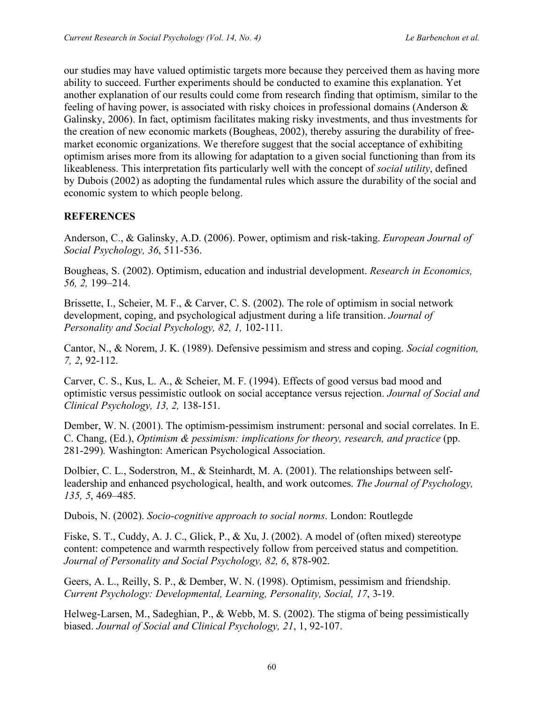our studies may have valued optimistic targets more because they perceived them as having more ability to succeed. Further experiments should be conducted to examine this explanation. Yet another explanation of our results could come from research finding that optimism, similar to the feeling of having power, is associated with risky choices in professional domains (Anderson & Galinsky, 2006). In fact, optimism facilitates making risky investments, and thus investments for the creation of new economic markets (Bougheas, 2002), thereby assuring the durability of freemarket economic organizations. We therefore suggest that the social acceptance of exhibiting optimism arises more from its allowing for adaptation to a given social functioning than from its likeableness. This interpretation fits particularly well with the concept of *social utility*, defined by Dubois (2002) as adopting the fundamental rules which assure the durability of the social and economic system to which people belong.

#### **REFERENCES**

Anderson, C., & Galinsky, A.D. (2006). Power, optimism and risk-taking. *European Journal of Social Psychology, 36*, 511-536.

Bougheas, S. (2002). Optimism, education and industrial development. *Research in Economics, 56, 2,* 199–214.

Brissette, I., Scheier, M. F., & Carver, C. S. (2002). The role of optimism in social network development, coping, and psychological adjustment during a life transition. *Journal of Personality and Social Psychology, 82, 1,* 102-111.

Cantor, N., & Norem, J. K. (1989). Defensive pessimism and stress and coping. *Social cognition, 7, 2*, 92-112.

Carver, C. S., Kus, L. A., & Scheier, M. F. (1994). Effects of good versus bad mood and optimistic versus pessimistic outlook on social acceptance versus rejection. *Journal of Social and Clinical Psychology, 13, 2,* 138-151.

Dember, W. N. (2001). The optimism-pessimism instrument: personal and social correlates. In E. C. Chang, (Ed.), *Optimism & pessimism: implications for theory, research, and practice* (pp. 281-299)*.* Washington: American Psychological Association.

Dolbier, C. L., Soderstron, M., & Steinhardt, M. A. (2001). The relationships between selfleadership and enhanced psychological, health, and work outcomes. *The Journal of Psychology, 135, 5*, 469–485.

Dubois, N. (2002). *Socio-cognitive approach to social norms*. London: Routlegde

Fiske, S. T., Cuddy, A. J. C., Glick, P., & Xu, J. (2002). A model of (often mixed) stereotype content: competence and warmth respectively follow from perceived status and competition. *Journal of Personality and Social Psychology, 82, 6*, 878-902.

Geers, A. L., Reilly, S. P., & Dember, W. N. (1998). Optimism, pessimism and friendship. *Current Psychology: Developmental, Learning, Personality, Social, 17*, 3-19.

Helweg-Larsen, M., Sadeghian, P., & Webb, M. S. (2002). The stigma of being pessimistically biased. *Journal of Social and Clinical Psychology, 21*, 1, 92-107.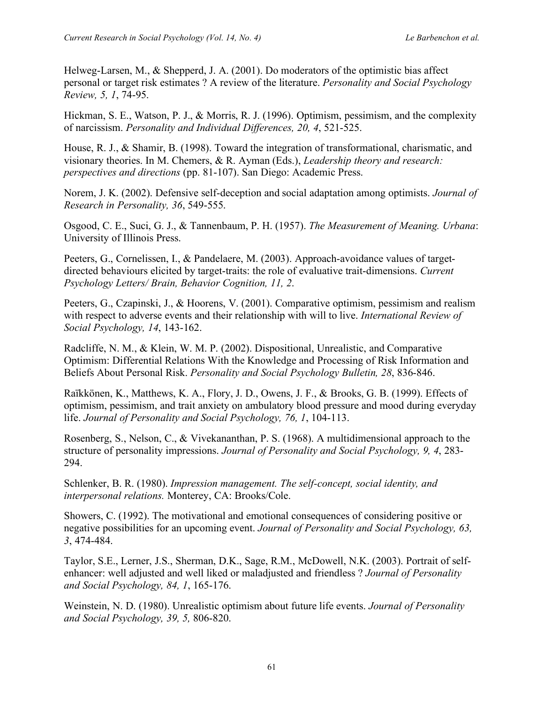Helweg-Larsen, M., & Shepperd, J. A. (2001). Do moderators of the optimistic bias affect personal or target risk estimates ? A review of the literature. *Personality and Social Psychology Review, 5, 1*, 74-95.

Hickman, S. E., Watson, P. J., & Morris, R. J. (1996). Optimism, pessimism, and the complexity of narcissism. *Personality and Individual Differences, 20, 4*, 521-525.

House, R. J., & Shamir, B. (1998). Toward the integration of transformational, charismatic, and visionary theories. In M. Chemers, & R. Ayman (Eds.), *Leadership theory and research: perspectives and directions* (pp. 81-107). San Diego: Academic Press.

Norem, J. K. (2002). Defensive self-deception and social adaptation among optimists. *Journal of Research in Personality, 36*, 549-555.

Osgood, C. E., Suci, G. J., & Tannenbaum, P. H. (1957). *The Measurement of Meaning. Urbana*: University of Illinois Press.

Peeters, G., Cornelissen, I., & Pandelaere, M. (2003). Approach-avoidance values of targetdirected behaviours elicited by target-traits: the role of evaluative trait-dimensions. *Current Psychology Letters/ Brain, Behavior Cognition, 11, 2*.

Peeters, G., Czapinski, J., & Hoorens, V. (2001). Comparative optimism, pessimism and realism with respect to adverse events and their relationship with will to live. *International Review of Social Psychology, 14*, 143-162.

Radcliffe, N. M., & Klein, W. M. P. (2002). Dispositional, Unrealistic, and Comparative Optimism: Differential Relations With the Knowledge and Processing of Risk Information and Beliefs About Personal Risk. *Personality and Social Psychology Bulletin, 28*, 836-846.

Raïkkönen, K., Matthews, K. A., Flory, J. D., Owens, J. F., & Brooks, G. B. (1999). Effects of optimism, pessimism, and trait anxiety on ambulatory blood pressure and mood during everyday life. *Journal of Personality and Social Psychology, 76, 1*, 104-113.

Rosenberg, S., Nelson, C., & Vivekananthan, P. S. (1968). A multidimensional approach to the structure of personality impressions. *Journal of Personality and Social Psychology, 9, 4*, 283- 294.

Schlenker, B. R. (1980). *Impression management. The self-concept, social identity, and interpersonal relations.* Monterey, CA: Brooks/Cole.

Showers, C. (1992). The motivational and emotional consequences of considering positive or negative possibilities for an upcoming event. *Journal of Personality and Social Psychology, 63, 3*, 474-484.

Taylor, S.E., Lerner, J.S., Sherman, D.K., Sage, R.M., McDowell, N.K. (2003). Portrait of selfenhancer: well adjusted and well liked or maladjusted and friendless ? *Journal of Personality and Social Psychology, 84, 1*, 165-176.

Weinstein, N. D. (1980). Unrealistic optimism about future life events. *Journal of Personality and Social Psychology, 39, 5,* 806-820.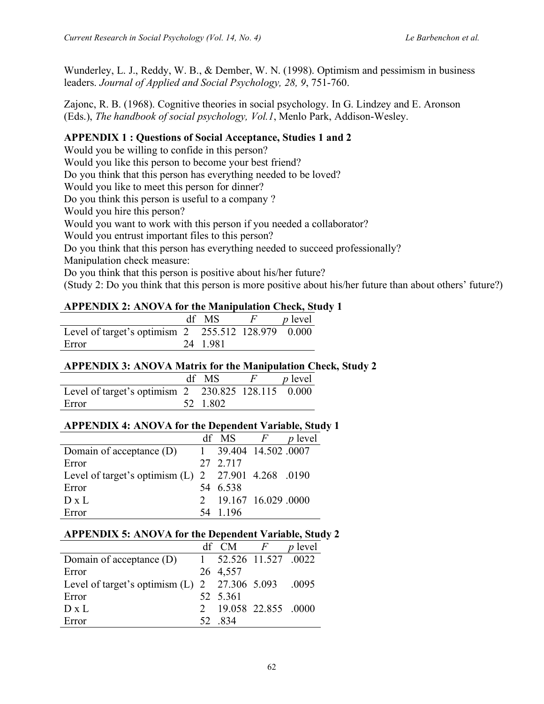Wunderley, L. J., Reddy, W. B., & Dember, W. N. (1998). Optimism and pessimism in business leaders. *Journal of Applied and Social Psychology, 28, 9*, 751-760.

Zajonc, R. B. (1968). Cognitive theories in social psychology. In G. Lindzey and E. Aronson (Eds.), *The handbook of social psychology, Vol.1*, Menlo Park, Addison-Wesley.

### **APPENDIX 1 : Questions of Social Acceptance, Studies 1 and 2**

Would you be willing to confide in this person?

Would you like this person to become your best friend?

Do you think that this person has everything needed to be loved?

Would you like to meet this person for dinner?

Do you think this person is useful to a company ?

Would you hire this person?

Would you want to work with this person if you needed a collaborator?

Would you entrust important files to this person?

Do you think that this person has everything needed to succeed professionally?

Manipulation check measure:

Do you think that this person is positive about his/her future?

(Study 2: Do you think that this person is more positive about his/her future than about others' future?)

### **APPENDIX 2: ANOVA for the Manipulation Check, Study 1**

|                                                    | df MS   | <i>p</i> level |
|----------------------------------------------------|---------|----------------|
| Level of target's optimism 2 255.512 128.979 0.000 |         |                |
| Error                                              | 24 1981 |                |

### **APPENDIX 3: ANOVA Matrix for the Manipulation Check, Study 2**

|                                                    | df MS    | <i>p</i> level |
|----------------------------------------------------|----------|----------------|
| Level of target's optimism 2 230.825 128.115 0.000 |          |                |
| Error                                              | 52 1.802 |                |

### **APPENDIX 4: ANOVA for the Dependent Variable, Study 1**

|                                                       | df MS $F$             | <i>p</i> level |
|-------------------------------------------------------|-----------------------|----------------|
| Domain of acceptance $(D)$                            | 1 39.404 14.502 .0007 |                |
| Error                                                 | 27 2.717              |                |
| Level of target's optimism $(L)$ 2 27.901 4.268 .0190 |                       |                |
| Error                                                 | 54 6.538              |                |
| $D \times L$                                          | 2 19.167 16.029 0000  |                |
| Error                                                 | - 1 1 9 6             |                |

### **APPENDIX 5: ANOVA for the Dependent Variable, Study 2**

|                                                       | df CM                 | F | <i>p</i> level |
|-------------------------------------------------------|-----------------------|---|----------------|
| Domain of acceptance (D)                              | 1 52.526 11.527 .0022 |   |                |
| Error                                                 | 26 4,557              |   |                |
| Level of target's optimism $(L)$ 2 27.306 5.093 .0095 |                       |   |                |
| Error                                                 | 52 5.361              |   |                |
| $D \times L$                                          | 2 19.058 22.855 .0000 |   |                |
| Error                                                 | 52 834                |   |                |